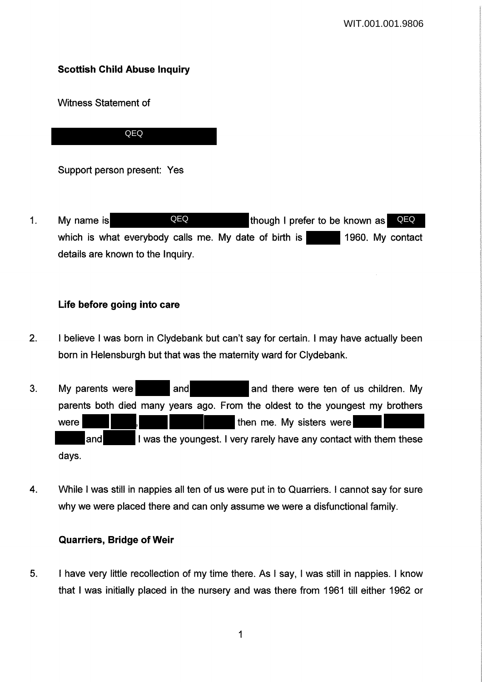# **Scottish Child Abuse Inquiry**

Witness Statement of

QEQ

Support person present: Yes

1. My name is **CEQ CEQ** though I prefer to be known as **QEQ** which is what everybody calls me. My date of birth is 1960. My contact details are known to the Inquiry.

## **Life before going into care**

- 2. I believe I was born in Clydebank but can't say for certain. I may have actually been born in Helensburgh but that was the maternity ward for Clydebank.
- 3. My parents were and and and there were ten of us children. My parents both died many years ago. From the oldest to the youngest my brothers were **then me.** My sisters were and I was the youngest. I very rarely have any contact with them these days.
- 4. While I was still in nappies all ten of us were put in to Quarriers. I cannot say for sure why we were placed there and can only assume we were a disfunctional family.

## **Quarriers, Bridge of Weir**

5. I have very little recollection of my time there. As I say, I was still in nappies. I know that I was initially placed in the nursery and was there from 1961 till either 1962 or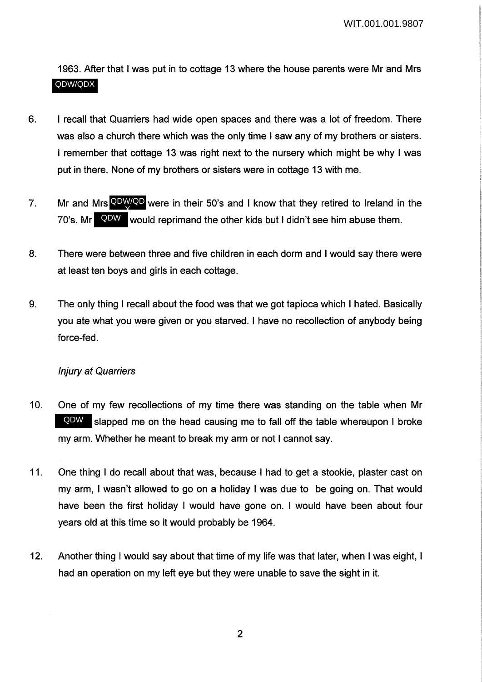1963. After that I was put in to cottage 13 where the house parents were Mr and Mrs QDW/QDX

- 6. I recall that Quarriers had wide open spaces and there was a lot of freedom. There was also a church there which was the only time I saw any of my brothers or sisters. I remember that cottage 13 was right next to the nursery which might be why I was put in there. None of my brothers or sisters were in cottage 13 with me.
- 7. Mr and Mrs **QDW/QD** were in their 50's and I know that they retired to Ireland in the 70's. Mr QDW would reprimand the other kids but I didn't see him abuse them. X
- 8. There were between three and five children in each dorm and I would say there were at least ten boys and girls in each cottage.
- 9. The only thing I recall about the food was that we got tapioca which I hated. Basically you ate what you were given or you starved. I have no recollection of anybody being force-fed.

## Injury at Quarriers

- 10. One of my few recollections of my time there was standing on the table when Mr QDW slapped me on the head causing me to fall off the table whereupon I broke my arm. Whether he meant to break my arm or not I cannot say.
- 11. One thing I do recall about that was, because I had to get a stookie, plaster cast on my arm, I wasn't allowed to go on a holiday I was due to be going on. That would have been the first holiday I would have gone on. I would have been about four years old at this time so it would probably be 1964.
- 12. Another thing I would say about that time of my life was that later, when I was eight, I had an operation on my left eye but they were unable to save the sight in it.

2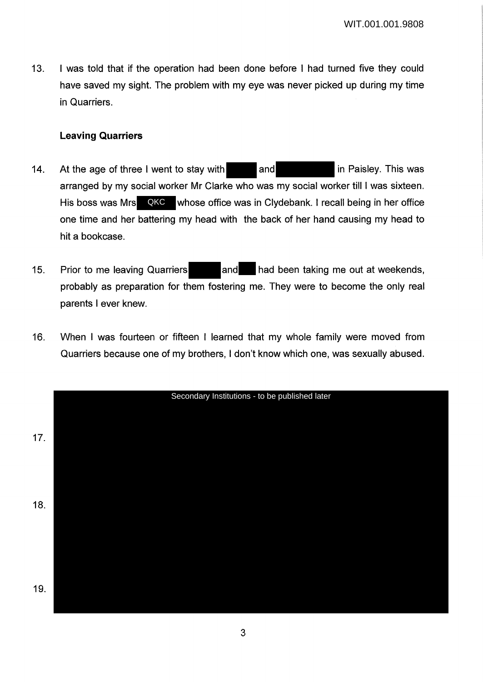13. I was told that if the operation had been done before I had turned five they could have saved my sight. The problem with my eye was never picked up during my time in Quarriers.

### **Leaving Quarriers**

- 14. At the age of three I went to stay with and in Paisley. This was arranged by my social worker Mr Clarke who was my social worker till I was sixteen. His boss was Mrs QKC whose office was in Clydebank. I recall being in her office one time and her battering my head with the back of her hand causing my head to hit a bookcase.
- 15. Prior to me leaving Quarriers and had been taking me out at weekends, probably as preparation for them fostering me. They were to become the only real parents I ever knew.
- 16. When I was fourteen or fifteen I learned that my whole family were moved from Quarriers because one of my brothers, I don't know which one, was sexually abused.

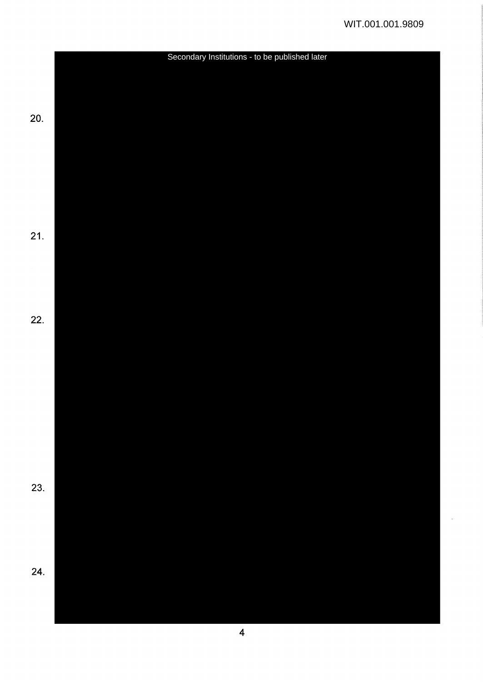![](_page_3_Figure_1.jpeg)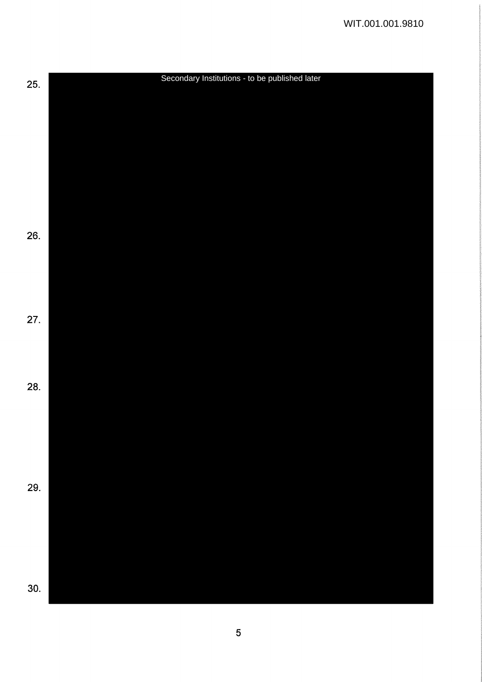![](_page_4_Figure_1.jpeg)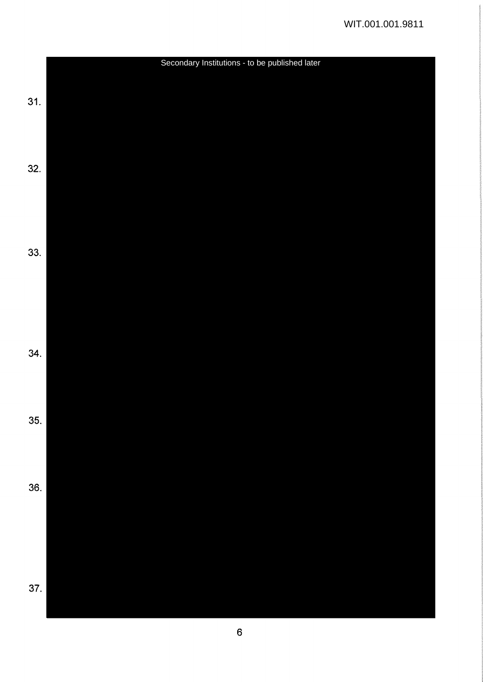![](_page_5_Figure_1.jpeg)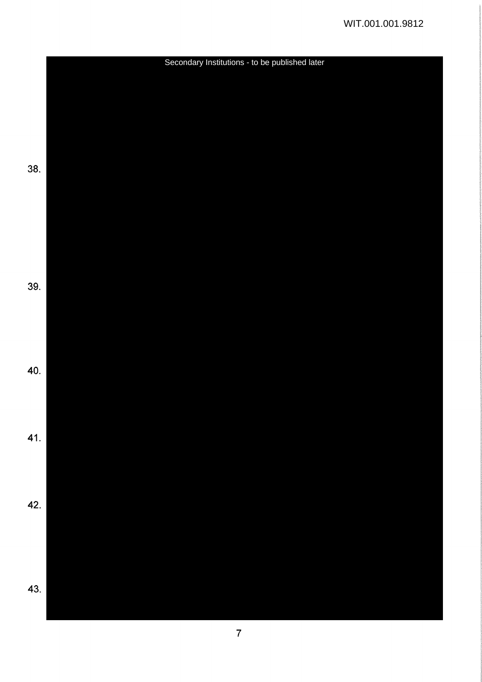![](_page_6_Figure_1.jpeg)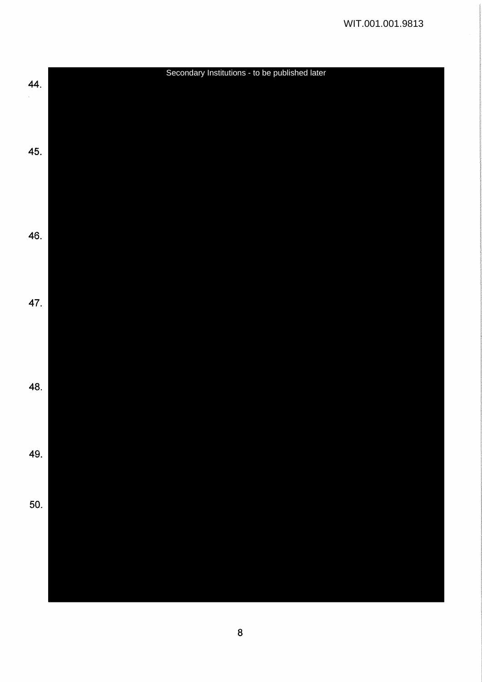![](_page_7_Figure_1.jpeg)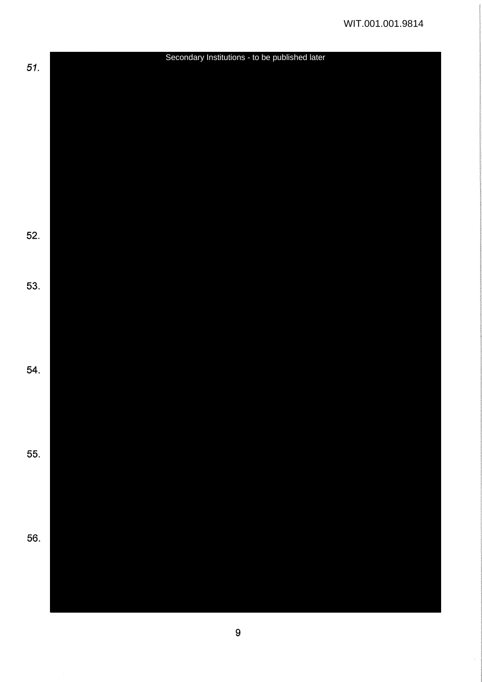![](_page_8_Figure_1.jpeg)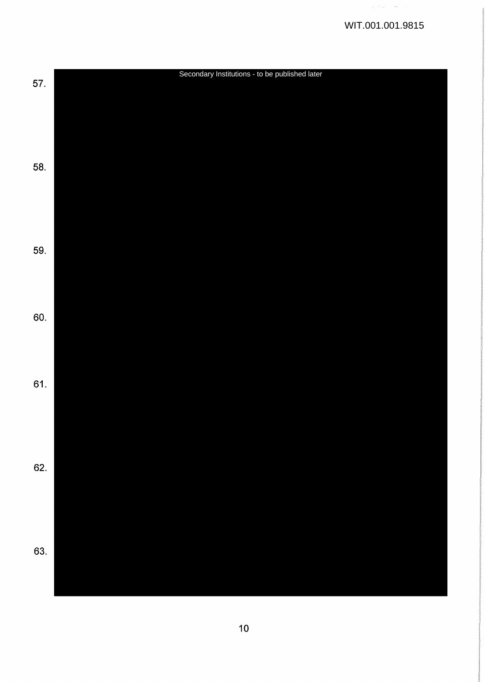$\beta_{\alpha\beta} \ll \beta_{\alpha\beta}$  . See

![](_page_9_Figure_1.jpeg)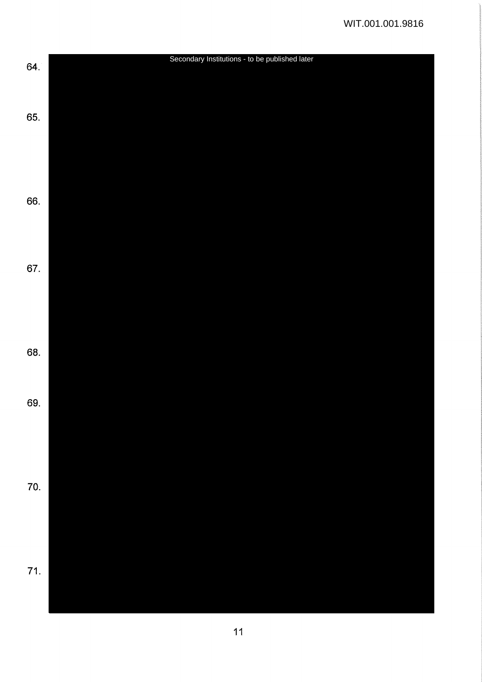![](_page_10_Figure_1.jpeg)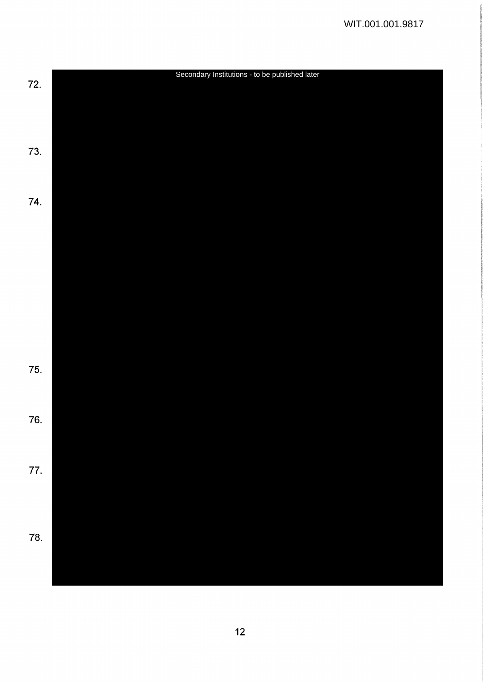![](_page_11_Figure_1.jpeg)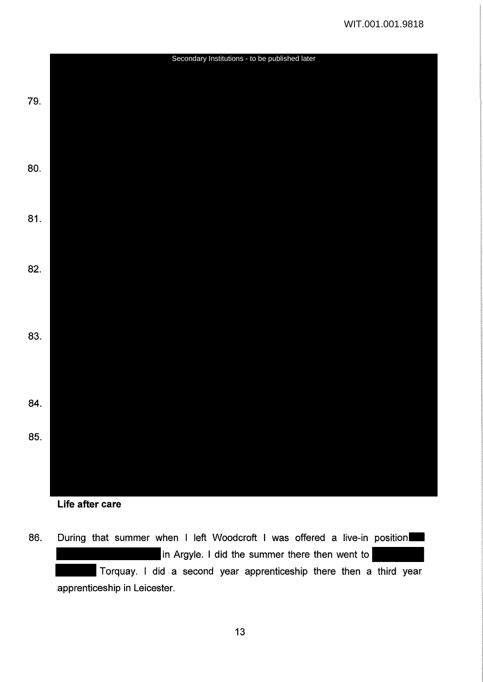![](_page_12_Figure_1.jpeg)

- **Life after care**
- 86. During that summer when I left Woodcroft I was offered a live-in position in Argyle. I did the summer there then went to Torquay. I did a second year apprenticeship there then a third year apprenticeship in Leicester.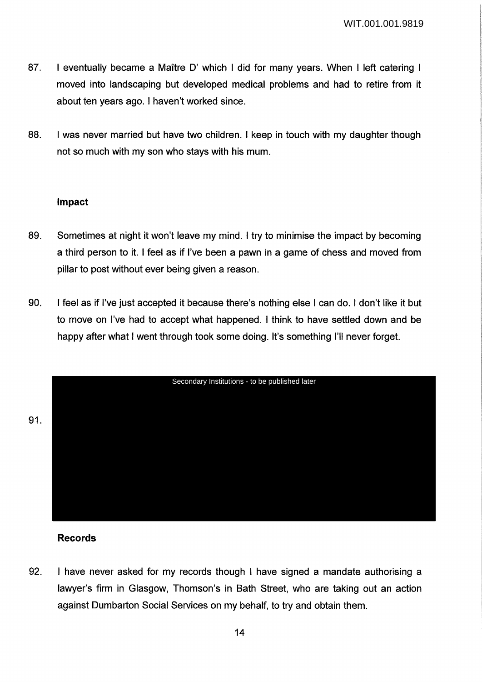- 87. I eventually became a Maître D' which I did for many vears. When I left catering I moved into landscaping but developed medical problems and had to retire from it about ten years ago. I haven't worked since.
- 88. I was never married but have two children. I keep in touch with my daughter though not so much with my son who stays with his mum.

#### **Impact**

- 89. Sometimes at night it won't leave my mind. I try to minimise the impact by becoming a third person to it. I feel as if I've been a pawn in a game of chess and moved from pillar to post without ever being given a reason.
- 90. I feel as if I've just accepted it because there's nothing else I can do. I don't like it but to move on I've had to accept what happened. I think to have settled down and be happy after what I went through took some doing. It's something I'll never forget.

![](_page_13_Figure_6.jpeg)

## **Records**

92. I have never asked for my records though I have signed a mandate authorising a lawyer's firm in Glasgow, Thomson's in Bath Street, who are taking out an action against Dumbarton Social Services on my behalf, to try and obtain them.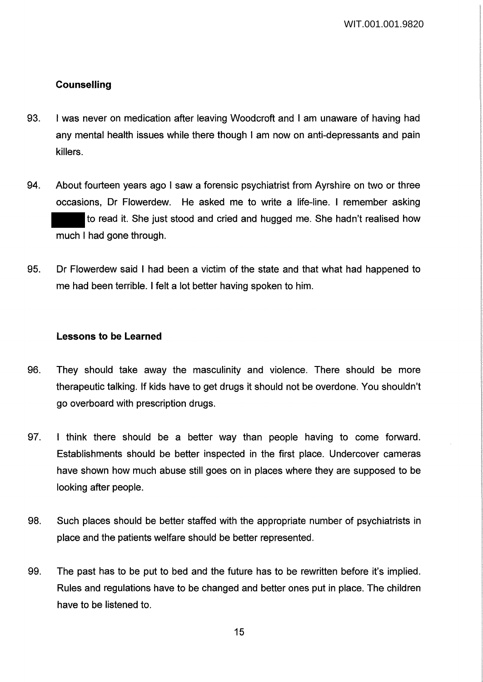## **Counselling**

- 93. I was never on medication after leaving Woodcroft and I am unaware of having had any mental health issues while there though I am now on anti-depressants and pain killers.
- 94. About fourteen years ago I saw a forensic psychiatrist from Ayrshire on two or three occasions, Dr Flowerdew. He asked me to write a life-line. I remember asking to read it. She just stood and cried and hugged me. She hadn't realised how much I had gone through.
- 95. Dr Flowerdew said I had been a victim of the state and that what had happened to me had been terrible. I felt a lot better having spoken to him.

#### **Lessons to be Learned**

- 96. They should take away the masculinity and violence. There should be more therapeutic talking. If kids have to get drugs it should not be overdone. You shouldn't go overboard with prescription drugs.
- 97. I think there should be a better way than people having to come forward. Establishments should be better inspected in the first place. Undercover cameras have shown how much abuse still goes on in places where they are supposed to be looking after people.
- 98. Such places should be better staffed with the appropriate number of psychiatrists in place and the patients welfare should be better represented.
- 99. The past has to be put to bed and the future has to be rewritten before it's implied. Rules and regulations have to be changed and better ones put in place. The children have to be listened to.